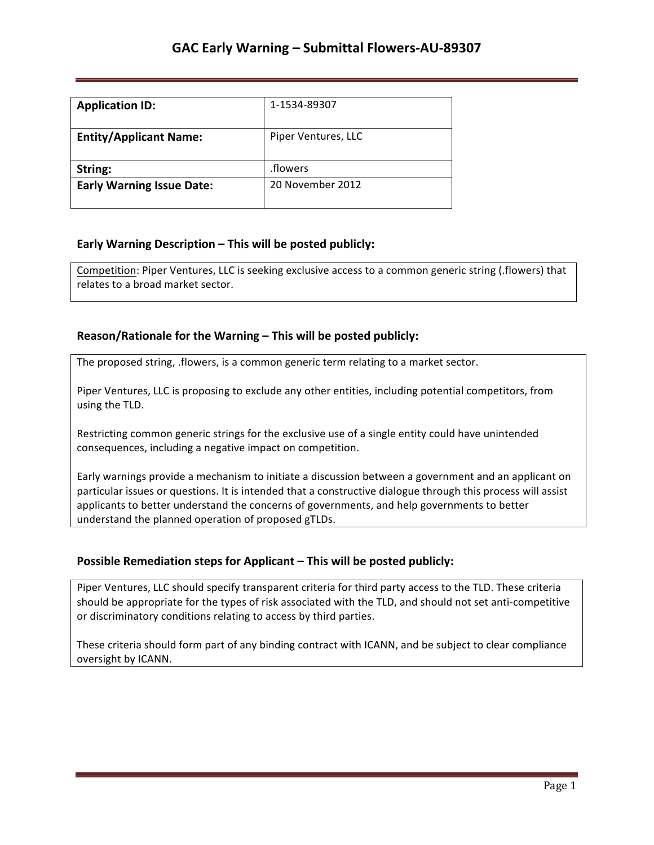| <b>Application ID:</b>           | 1-1534-89307        |
|----------------------------------|---------------------|
| <b>Entity/Applicant Name:</b>    | Piper Ventures, LLC |
| String:                          | .flowers            |
| <b>Early Warning Issue Date:</b> | 20 November 2012    |

## **Early Warning Description – This will be posted publicly:**

Competition: Piper Ventures, LLC is seeking exclusive access to a common generic string (.flowers) that relates to a broad market sector.

### **Reason/Rationale for the Warning – This will be posted publicly:**

The proposed string, .flowers, is a common generic term relating to a market sector.

Piper Ventures, LLC is proposing to exclude any other entities, including potential competitors, from using the TLD.

Restricting common generic strings for the exclusive use of a single entity could have unintended consequences, including a negative impact on competition.

Early warnings provide a mechanism to initiate a discussion between a government and an applicant on particular issues or questions. It is intended that a constructive dialogue through this process will assist applicants to better understand the concerns of governments, and help governments to better understand the planned operation of proposed gTLDs.

## **Possible Remediation steps for Applicant - This will be posted publicly:**

Piper Ventures, LLC should specify transparent criteria for third party access to the TLD. These criteria should be appropriate for the types of risk associated with the TLD, and should not set anti-competitive or discriminatory conditions relating to access by third parties.

These criteria should form part of any binding contract with ICANN, and be subject to clear compliance oversight by ICANN.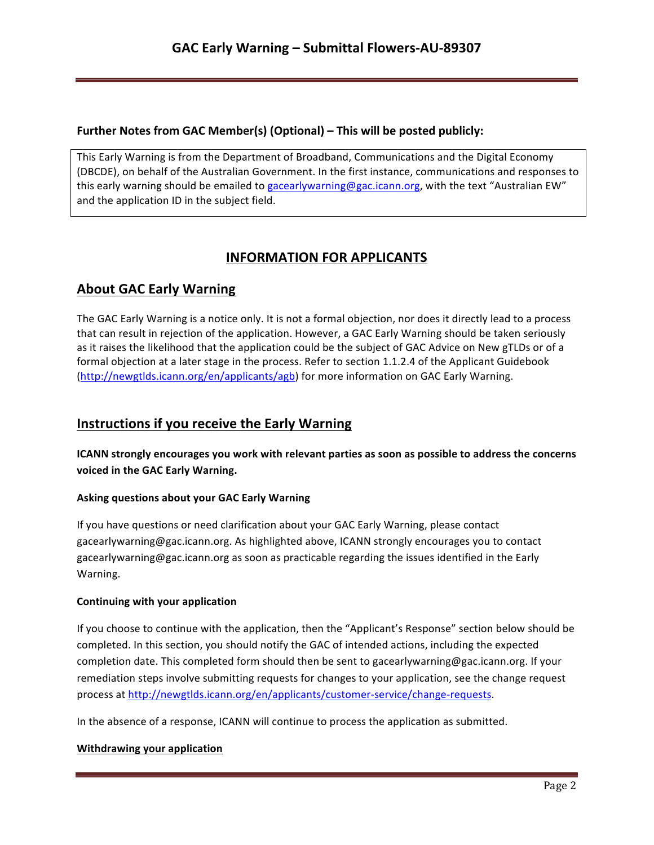## **Further Notes from GAC Member(s) (Optional) – This will be posted publicly:**

This Early Warning is from the Department of Broadband, Communications and the Digital Economy (DBCDE), on behalf of the Australian Government. In the first instance, communications and responses to this early warning should be emailed to gacearlywarning@gac.icann.org, with the text "Australian EW" and the application ID in the subject field.

# **INFORMATION FOR APPLICANTS**

# **About GAC Early Warning**

The GAC Early Warning is a notice only. It is not a formal objection, nor does it directly lead to a process that can result in rejection of the application. However, a GAC Early Warning should be taken seriously as it raises the likelihood that the application could be the subject of GAC Advice on New gTLDs or of a formal objection at a later stage in the process. Refer to section 1.1.2.4 of the Applicant Guidebook (http://newgtlds.icann.org/en/applicants/agb) for more information on GAC Early Warning.

## **Instructions if you receive the Early Warning**

**ICANN** strongly encourages you work with relevant parties as soon as possible to address the concerns voiced in the GAC Early Warning.

### **Asking questions about your GAC Early Warning**

If you have questions or need clarification about your GAC Early Warning, please contact gacearlywarning@gac.icann.org. As highlighted above, ICANN strongly encourages you to contact gacearlywarning@gac.icann.org as soon as practicable regarding the issues identified in the Early Warning. 

### **Continuing with your application**

If you choose to continue with the application, then the "Applicant's Response" section below should be completed. In this section, you should notify the GAC of intended actions, including the expected completion date. This completed form should then be sent to gacearlywarning@gac.icann.org. If your remediation steps involve submitting requests for changes to your application, see the change request process at http://newgtlds.icann.org/en/applicants/customer-service/change-requests.

In the absence of a response, ICANN will continue to process the application as submitted.

### **Withdrawing your application**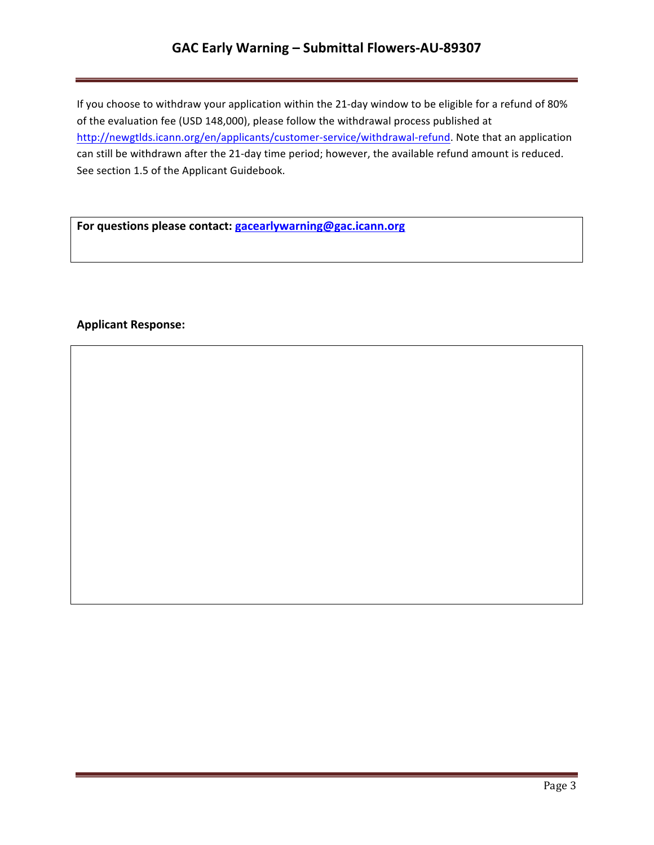# **GAC Early Warning – Submittal Flowers-AU-89307**

If you choose to withdraw your application within the 21-day window to be eligible for a refund of 80% of the evaluation fee (USD 148,000), please follow the withdrawal process published at http://newgtlds.icann.org/en/applicants/customer-service/withdrawal-refund. Note that an application can still be withdrawn after the 21-day time period; however, the available refund amount is reduced. See section 1.5 of the Applicant Guidebook.

For questions please contact: **gacearlywarning@gac.icann.org** 

### **Applicant Response:**